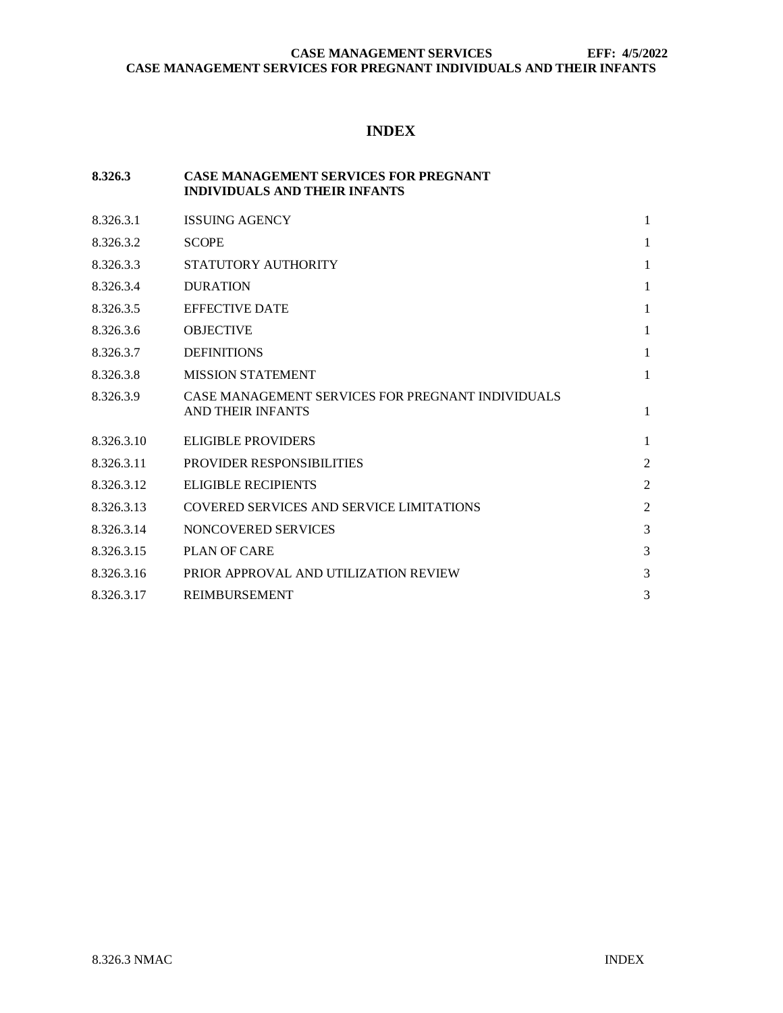# **INDEX**

# **8.326.3 CASE MANAGEMENT SERVICES FOR PREGNANT INDIVIDUALS AND THEIR INFANTS**

| 8.326.3.1  | <b>ISSUING AGENCY</b>                                                         | 1              |
|------------|-------------------------------------------------------------------------------|----------------|
| 8.326.3.2  | <b>SCOPE</b>                                                                  | $\mathbf{1}$   |
| 8.326.3.3  | STATUTORY AUTHORITY                                                           | $\mathbf{1}$   |
| 8.326.3.4  | <b>DURATION</b>                                                               | $\mathbf{1}$   |
| 8.326.3.5  | <b>EFFECTIVE DATE</b>                                                         | 1              |
| 8.326.3.6  | <b>OBJECTIVE</b>                                                              | 1              |
| 8.326.3.7  | <b>DEFINITIONS</b>                                                            | $\mathbf{1}$   |
| 8.326.3.8  | <b>MISSION STATEMENT</b>                                                      | $\mathbf{1}$   |
| 8.326.3.9  | CASE MANAGEMENT SERVICES FOR PREGNANT INDIVIDUALS<br><b>AND THEIR INFANTS</b> | $\mathbf{1}$   |
| 8.326.3.10 | <b>ELIGIBLE PROVIDERS</b>                                                     | $\mathbf{1}$   |
| 8.326.3.11 | <b>PROVIDER RESPONSIBILITIES</b>                                              | $\overline{2}$ |
| 8.326.3.12 | <b>ELIGIBLE RECIPIENTS</b>                                                    | $\overline{2}$ |
| 8.326.3.13 | <b>COVERED SERVICES AND SERVICE LIMITATIONS</b>                               | $\overline{2}$ |
| 8.326.3.14 | NONCOVERED SERVICES                                                           | 3              |
| 8.326.3.15 | <b>PLAN OF CARE</b>                                                           | 3              |
| 8.326.3.16 | PRIOR APPROVAL AND UTILIZATION REVIEW                                         | 3              |
| 8.326.3.17 | <b>REIMBURSEMENT</b>                                                          | 3              |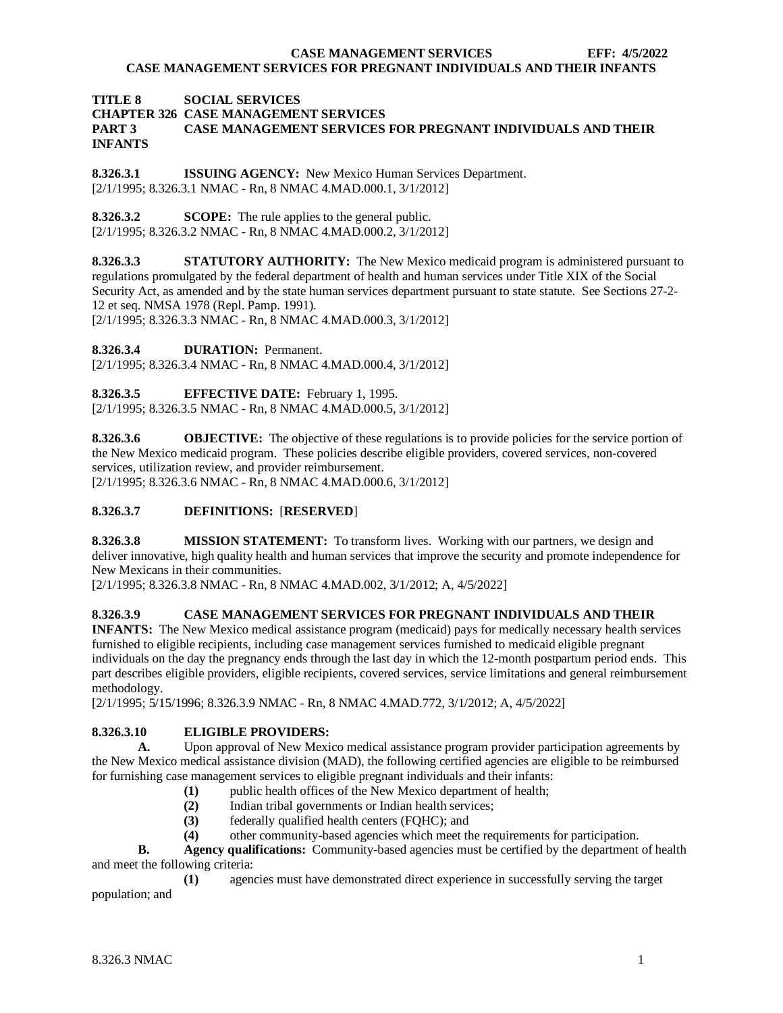# **TITLE 8 SOCIAL SERVICES CHAPTER 326 CASE MANAGEMENT SERVICES PART 3 CASE MANAGEMENT SERVICES FOR PREGNANT INDIVIDUALS AND THEIR INFANTS**

<span id="page-1-0"></span>**8.326.3.1 ISSUING AGENCY:** New Mexico Human Services Department. [2/1/1995; 8.326.3.1 NMAC - Rn, 8 NMAC 4.MAD.000.1, 3/1/2012]

<span id="page-1-1"></span>**8.326.3.2 SCOPE:** The rule applies to the general public. [2/1/1995; 8.326.3.2 NMAC - Rn, 8 NMAC 4.MAD.000.2, 3/1/2012]

<span id="page-1-2"></span>**8.326.3.3 STATUTORY AUTHORITY:** The New Mexico medicaid program is administered pursuant to regulations promulgated by the federal department of health and human services under Title XIX of the Social Security Act, as amended and by the state human services department pursuant to state statute. See Sections 27-2- 12 et seq. NMSA 1978 (Repl. Pamp. 1991).

[2/1/1995; 8.326.3.3 NMAC - Rn, 8 NMAC 4.MAD.000.3, 3/1/2012]

<span id="page-1-3"></span>**8.326.3.4 DURATION:** Permanent.

[2/1/1995; 8.326.3.4 NMAC - Rn, 8 NMAC 4.MAD.000.4, 3/1/2012]

<span id="page-1-4"></span>**8.326.3.5 EFFECTIVE DATE:** February 1, 1995.

[2/1/1995; 8.326.3.5 NMAC - Rn, 8 NMAC 4.MAD.000.5, 3/1/2012]

<span id="page-1-5"></span>**8.326.3.6 OBJECTIVE:** The objective of these regulations is to provide policies for the service portion of the New Mexico medicaid program. These policies describe eligible providers, covered services, non-covered services, utilization review, and provider reimbursement. [2/1/1995; 8.326.3.6 NMAC - Rn, 8 NMAC 4.MAD.000.6, 3/1/2012]

#### <span id="page-1-6"></span>**8.326.3.7 DEFINITIONS:** [**RESERVED**]

<span id="page-1-7"></span>**8.326.3.8 MISSION STATEMENT:** To transform lives. Working with our partners, we design and deliver innovative, high quality health and human services that improve the security and promote independence for New Mexicans in their communities.

[2/1/1995; 8.326.3.8 NMAC - Rn, 8 NMAC 4.MAD.002, 3/1/2012; A, 4/5/2022]

## <span id="page-1-8"></span>**8.326.3.9 CASE MANAGEMENT SERVICES FOR PREGNANT INDIVIDUALS AND THEIR**

**INFANTS:** The New Mexico medical assistance program (medicaid) pays for medically necessary health services furnished to eligible recipients, including case management services furnished to medicaid eligible pregnant individuals on the day the pregnancy ends through the last day in which the 12-month postpartum period ends. This part describes eligible providers, eligible recipients, covered services, service limitations and general reimbursement methodology.

[2/1/1995; 5/15/1996; 8.326.3.9 NMAC - Rn, 8 NMAC 4.MAD.772, 3/1/2012; A, 4/5/2022]

## <span id="page-1-9"></span>**8.326.3.10 ELIGIBLE PROVIDERS:**

**A.** Upon approval of New Mexico medical assistance program provider participation agreements by the New Mexico medical assistance division (MAD), the following certified agencies are eligible to be reimbursed for furnishing case management services to eligible pregnant individuals and their infants:

- (1) public health offices of the New Mexico department of health;<br>(2) Indian tribal governments or Indian health services;
- Indian tribal governments or Indian health services;
- **(3)** federally qualified health centers (FQHC); and
- **(4)** other community-based agencies which meet the requirements for participation.

**B. Agency qualifications:** Community-based agencies must be certified by the department of health and meet the following criteria:

**(1)** agencies must have demonstrated direct experience in successfully serving the target population; and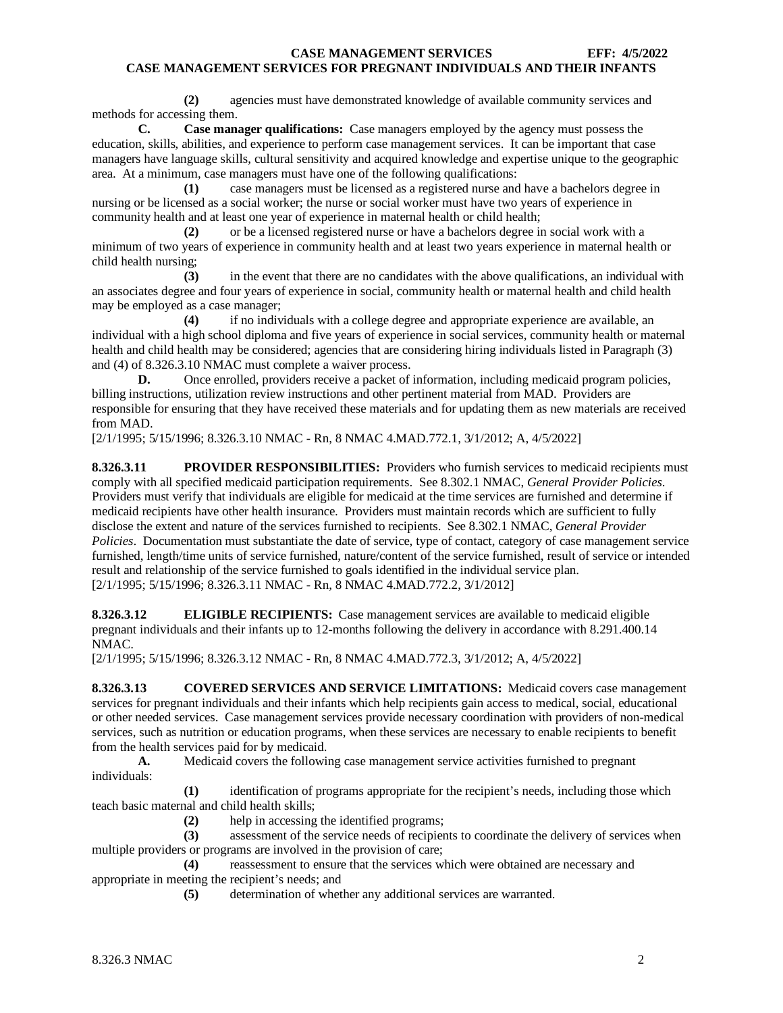**(2)** agencies must have demonstrated knowledge of available community services and methods for accessing them.

**C. Case manager qualifications:** Case managers employed by the agency must possess the education, skills, abilities, and experience to perform case management services. It can be important that case managers have language skills, cultural sensitivity and acquired knowledge and expertise unique to the geographic area. At a minimum, case managers must have one of the following qualifications:

**(1)** case managers must be licensed as a registered nurse and have a bachelors degree in nursing or be licensed as a social worker; the nurse or social worker must have two years of experience in community health and at least one year of experience in maternal health or child health;

**(2)** or be a licensed registered nurse or have a bachelors degree in social work with a minimum of two years of experience in community health and at least two years experience in maternal health or child health nursing;

**(3)** in the event that there are no candidates with the above qualifications, an individual with an associates degree and four years of experience in social, community health or maternal health and child health may be employed as a case manager;

**(4)** if no individuals with a college degree and appropriate experience are available, an individual with a high school diploma and five years of experience in social services, community health or maternal health and child health may be considered; agencies that are considering hiring individuals listed in Paragraph (3) and (4) of 8.326.3.10 NMAC must complete a waiver process.

**D.** Once enrolled, providers receive a packet of information, including medicaid program policies, billing instructions, utilization review instructions and other pertinent material from MAD. Providers are responsible for ensuring that they have received these materials and for updating them as new materials are received from MAD.

[2/1/1995; 5/15/1996; 8.326.3.10 NMAC - Rn, 8 NMAC 4.MAD.772.1, 3/1/2012; A, 4/5/2022]

<span id="page-2-0"></span>**8.326.3.11 PROVIDER RESPONSIBILITIES:** Providers who furnish services to medicaid recipients must comply with all specified medicaid participation requirements. See 8.302.1 NMAC, *General Provider Policies*. Providers must verify that individuals are eligible for medicaid at the time services are furnished and determine if medicaid recipients have other health insurance. Providers must maintain records which are sufficient to fully disclose the extent and nature of the services furnished to recipients. See 8.302.1 NMAC, *General Provider Policies*. Documentation must substantiate the date of service, type of contact, category of case management service furnished, length/time units of service furnished, nature/content of the service furnished, result of service or intended result and relationship of the service furnished to goals identified in the individual service plan. [2/1/1995; 5/15/1996; 8.326.3.11 NMAC - Rn, 8 NMAC 4.MAD.772.2, 3/1/2012]

<span id="page-2-1"></span>**8.326.3.12 ELIGIBLE RECIPIENTS:** Case management services are available to medicaid eligible pregnant individuals and their infants up to 12-months following the delivery in accordance with 8.291.400.14 NMAC.

[2/1/1995; 5/15/1996; 8.326.3.12 NMAC - Rn, 8 NMAC 4.MAD.772.3, 3/1/2012; A, 4/5/2022]

<span id="page-2-2"></span>**8.326.3.13 COVERED SERVICES AND SERVICE LIMITATIONS:** Medicaid covers case management services for pregnant individuals and their infants which help recipients gain access to medical, social, educational or other needed services. Case management services provide necessary coordination with providers of non-medical services, such as nutrition or education programs, when these services are necessary to enable recipients to benefit from the health services paid for by medicaid.<br>A. Medicaid covers the following

**A.** Medicaid covers the following case management service activities furnished to pregnant individuals:

**(1)** identification of programs appropriate for the recipient's needs, including those which teach basic maternal and child health skills;

**(2)** help in accessing the identified programs;

**(3)** assessment of the service needs of recipients to coordinate the delivery of services when multiple providers or programs are involved in the provision of care;

**(4)** reassessment to ensure that the services which were obtained are necessary and appropriate in meeting the recipient's needs; and

**(5)** determination of whether any additional services are warranted.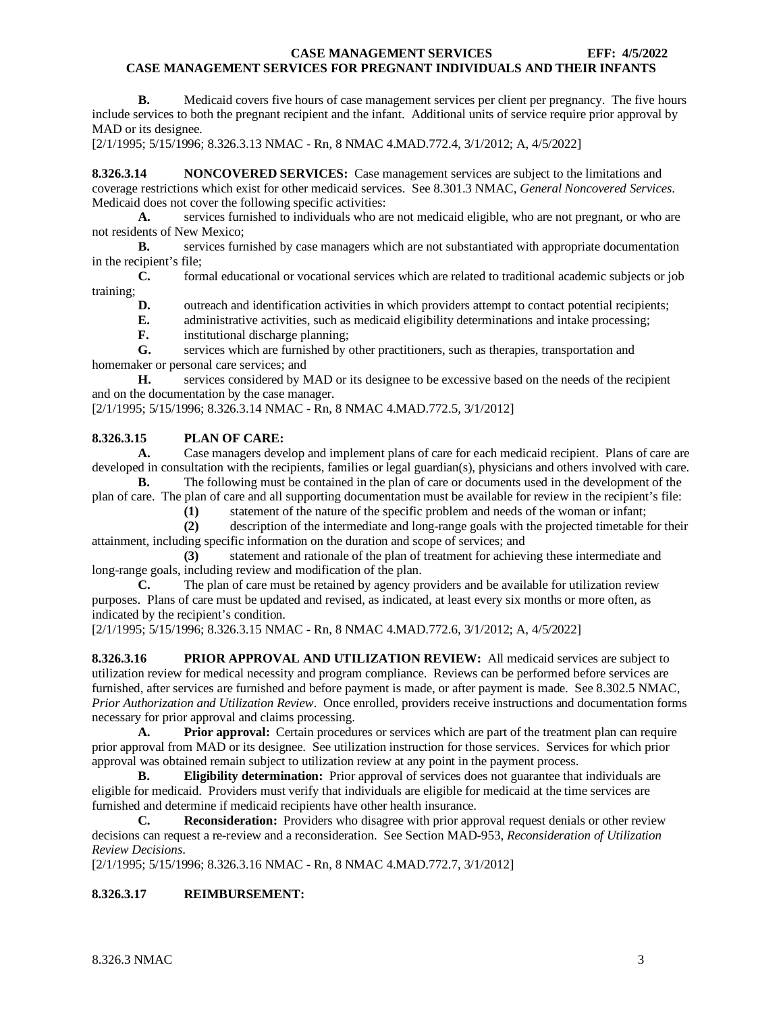**B.** Medicaid covers five hours of case management services per client per pregnancy. The five hours include services to both the pregnant recipient and the infant. Additional units of service require prior approval by MAD or its designee.

[2/1/1995; 5/15/1996; 8.326.3.13 NMAC - Rn, 8 NMAC 4.MAD.772.4, 3/1/2012; A, 4/5/2022]

<span id="page-3-0"></span>**8.326.3.14 NONCOVERED SERVICES:** Case management services are subject to the limitations and coverage restrictions which exist for other medicaid services. See 8.301.3 NMAC, *General Noncovered Services*. Medicaid does not cover the following specific activities:<br>A. services furnished to individuals who are

**A.** services furnished to individuals who are not medicaid eligible, who are not pregnant, or who are not residents of New Mexico;

**B.** services furnished by case managers which are not substantiated with appropriate documentation in the recipient's file;

**C.** formal educational or vocational services which are related to traditional academic subjects or job training;

**D.** outreach and identification activities in which providers attempt to contact potential recipients;

- **E.** administrative activities, such as medicaid eligibility determinations and intake processing;
- **F.** institutional discharge planning;

**G.** services which are furnished by other practitioners, such as therapies, transportation and homemaker or personal care services; and

**H.** services considered by MAD or its designee to be excessive based on the needs of the recipient and on the documentation by the case manager.

[2/1/1995; 5/15/1996; 8.326.3.14 NMAC - Rn, 8 NMAC 4.MAD.772.5, 3/1/2012]

#### <span id="page-3-1"></span>**8.326.3.15 PLAN OF CARE:**

**A.** Case managers develop and implement plans of care for each medicaid recipient. Plans of care are developed in consultation with the recipients, families or legal guardian(s), physicians and others involved with care.

**B.** The following must be contained in the plan of care or documents used in the development of the plan of care. The plan of care and all supporting documentation must be available for review in the recipient's file:

**(1)** statement of the nature of the specific problem and needs of the woman or infant;

**(2)** description of the intermediate and long-range goals with the projected timetable for their attainment, including specific information on the duration and scope of services; and

**(3)** statement and rationale of the plan of treatment for achieving these intermediate and long-range goals, including review and modification of the plan.

**C.** The plan of care must be retained by agency providers and be available for utilization review purposes. Plans of care must be updated and revised, as indicated, at least every six months or more often, as indicated by the recipient's condition.

[2/1/1995; 5/15/1996; 8.326.3.15 NMAC - Rn, 8 NMAC 4.MAD.772.6, 3/1/2012; A, 4/5/2022]

<span id="page-3-2"></span>**8.326.3.16 PRIOR APPROVAL AND UTILIZATION REVIEW:** All medicaid services are subject to utilization review for medical necessity and program compliance. Reviews can be performed before services are furnished, after services are furnished and before payment is made, or after payment is made. See 8.302.5 NMAC, *Prior Authorization and Utilization Review*. Once enrolled, providers receive instructions and documentation forms necessary for prior approval and claims processing.

**A. Prior approval:** Certain procedures or services which are part of the treatment plan can require prior approval from MAD or its designee. See utilization instruction for those services. Services for which prior approval was obtained remain subject to utilization review at any point in the payment process.

**B. Eligibility determination:** Prior approval of services does not guarantee that individuals are eligible for medicaid. Providers must verify that individuals are eligible for medicaid at the time services are furnished and determine if medicaid recipients have other health insurance.

**C. Reconsideration:** Providers who disagree with prior approval request denials or other review decisions can request a re-review and a reconsideration. See Section MAD-953, *Reconsideration of Utilization Review Decisions*.

[2/1/1995; 5/15/1996; 8.326.3.16 NMAC - Rn, 8 NMAC 4.MAD.772.7, 3/1/2012]

## <span id="page-3-3"></span>**8.326.3.17 REIMBURSEMENT:**